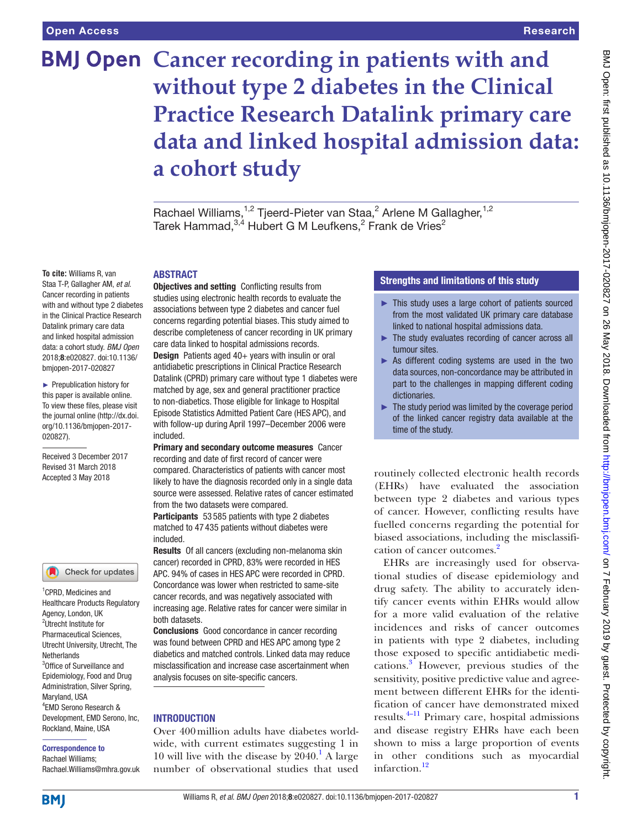# **BMJ Open Cancer recording in patients with and without type 2 diabetes in the Clinical Practice Research Datalink primary care data and linked hospital admission data: a cohort study**

Rachael Williams,<sup>1,2</sup> Tjeerd-Pieter van Staa,<sup>2</sup> Arlene M Gallagher,<sup>1,2</sup> Tarek Hammad, $^{3,4}$  Hubert G M Leufkens, $^2$  Frank de Vries $^2$ 

#### **ABSTRACT**

**To cite:** Williams R, van Staa T-P, Gallagher AM, *et al*. Cancer recording in patients with and without type 2 diabetes in the Clinical Practice Research Datalink primary care data and linked hospital admission data: a cohort study. *BMJ Open* 2018;8:e020827. doi:10.1136/ bmjopen-2017-020827

► Prepublication history for this paper is available online. To view these files, please visit the journal online [\(http://dx.doi.](http://dx.doi.org/10.1136/bmjopen-2017-020827) [org/10.1136/bmjopen-2017-](http://dx.doi.org/10.1136/bmjopen-2017-020827) [020827\)](http://dx.doi.org/10.1136/bmjopen-2017-020827).

Received 3 December 2017 Revised 31 March 2018 Accepted 3 May 2018



1 CPRD, Medicines and Healthcare Products Regulatory Agency, London, UK 2 Utrecht Institute for Pharmaceutical Sciences, Utrecht University, Utrecht, The **Netherlands** <sup>3</sup>Office of Surveillance and Epidemiology, Food and Drug Administration, Silver Spring, Maryland, USA 4 EMD Serono Research & Development, EMD Serono, Inc, Rockland, Maine, USA

# Correspondence to

Rachael Williams; Rachael.Williams@mhra.gov.uk Objectives and setting Conflicting results from studies using electronic health records to evaluate the associations between type 2 diabetes and cancer fuel concerns regarding potential biases. This study aimed to describe completeness of cancer recording in UK primary care data linked to hospital admissions records. Design Patients aged 40+ years with insulin or oral antidiabetic prescriptions in Clinical Practice Research Datalink (CPRD) primary care without type 1 diabetes were matched by age, sex and general practitioner practice to non-diabetics. Those eligible for linkage to Hospital Episode Statistics Admitted Patient Care (HES APC), and with follow-up during April 1997–December 2006 were included.

Primary and secondary outcome measures Cancer recording and date of first record of cancer were compared. Characteristics of patients with cancer most likely to have the diagnosis recorded only in a single data source were assessed. Relative rates of cancer estimated from the two datasets were compared.

Participants 53 585 patients with type 2 diabetes matched to 47 435 patients without diabetes were included.

Results Of all cancers (excluding non-melanoma skin cancer) recorded in CPRD, 83% were recorded in HES APC. 94% of cases in HES APC were recorded in CPRD. Concordance was lower when restricted to same-site cancer records, and was negatively associated with increasing age. Relative rates for cancer were similar in both datasets.

Conclusions Good concordance in cancer recording was found between CPRD and HES APC among type 2 diabetics and matched controls. Linked data may reduce misclassification and increase case ascertainment when analysis focuses on site-specific cancers.

# **INTRODUCTION**

Over 400million adults have diabetes worldwide, with current estimates suggesting 1 in [1](#page-7-0)0 will live with the disease by  $2040<sup>1</sup>$  A large number of observational studies that used

# Strengths and limitations of this study

- ► This study uses a large cohort of patients sourced from the most validated UK primary care database linked to national hospital admissions data.
- ► The study evaluates recording of cancer across all tumour sites.
- $\triangleright$  As different coding systems are used in the two data sources, non-concordance may be attributed in part to the challenges in mapping different coding dictionaries.
- $\blacktriangleright$  The study period was limited by the coverage period of the linked cancer registry data available at the time of the study.

routinely collected electronic health records (EHRs) have evaluated the association between type 2 diabetes and various types of cancer. However, conflicting results have fuelled concerns regarding the potential for biased associations, including the misclassifi-cation of cancer outcomes.<sup>[2](#page-7-1)</sup>

EHRs are increasingly used for observational studies of disease epidemiology and drug safety. The ability to accurately identify cancer events within EHRs would allow for a more valid evaluation of the relative incidences and risks of cancer outcomes in patients with type 2 diabetes, including those exposed to specific antidiabetic medications.[3](#page-7-2) However, previous studies of the sensitivity, positive predictive value and agreement between different EHRs for the identification of cancer have demonstrated mixed results.[4–11](#page-7-3) Primary care, hospital admissions and disease registry EHRs have each been shown to miss a large proportion of events in other conditions such as myocardial infarction.<sup>[12](#page-7-4)</sup>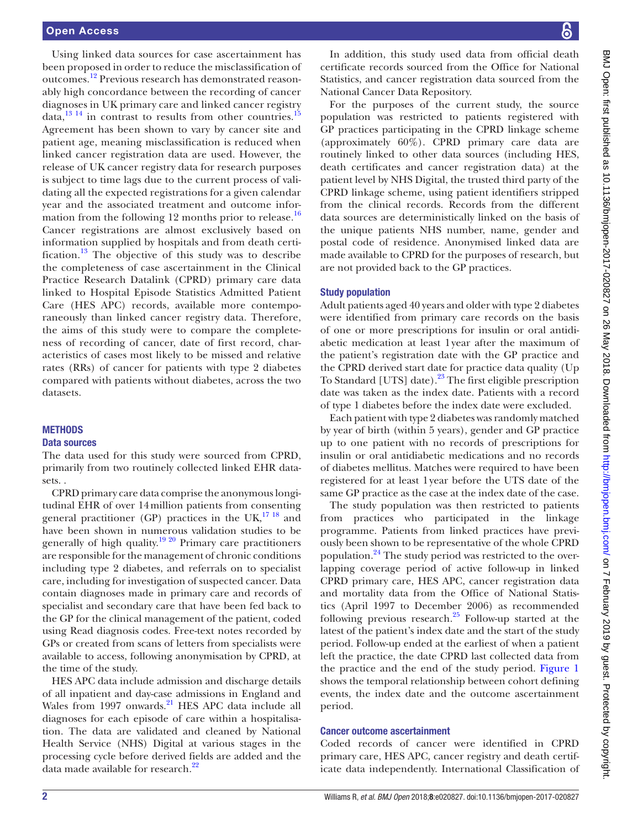Using linked data sources for case ascertainment has been proposed in order to reduce the misclassification of outcomes.[12](#page-7-4) Previous research has demonstrated reasonably high concordance between the recording of cancer diagnoses in UK primary care and linked cancer registry data, $13^{13}$  in contrast to results from other countries.<sup>15</sup> Agreement has been shown to vary by cancer site and patient age, meaning misclassification is reduced when linked cancer registration data are used. However, the release of UK cancer registry data for research purposes is subject to time lags due to the current process of validating all the expected registrations for a given calendar year and the associated treatment and outcome infor-mation from the following 12 months prior to release.<sup>[16](#page-7-7)</sup> Cancer registrations are almost exclusively based on information supplied by hospitals and from death certi-fication.<sup>[13](#page-7-5)</sup> The objective of this study was to describe the completeness of case ascertainment in the Clinical Practice Research Datalink (CPRD) primary care data linked to Hospital Episode Statistics Admitted Patient Care (HES APC) records, available more contemporaneously than linked cancer registry data. Therefore, the aims of this study were to compare the completeness of recording of cancer, date of first record, characteristics of cases most likely to be missed and relative rates (RRs) of cancer for patients with type 2 diabetes compared with patients without diabetes, across the two datasets.

# **METHODS**

# Data sources

The data used for this study were sourced from CPRD, primarily from two routinely collected linked EHR datasets. .

CPRD primary care data comprise the anonymous longitudinal EHR of over 14million patients from consenting general practitioner (GP) practices in the UK, $^{17}$ <sup>18</sup> and have been shown in numerous validation studies to be generally of high quality.<sup>[19 20](#page-7-9)</sup> Primary care practitioners are responsible for the management of chronic conditions including type 2 diabetes, and referrals on to specialist care, including for investigation of suspected cancer. Data contain diagnoses made in primary care and records of specialist and secondary care that have been fed back to the GP for the clinical management of the patient, coded using Read diagnosis codes. Free-text notes recorded by GPs or created from scans of letters from specialists were available to access, following anonymisation by CPRD, at the time of the study.

HES APC data include admission and discharge details of all inpatient and day-case admissions in England and Wales from 1997 onwards.<sup>[21](#page-7-10)</sup> HES APC data include all diagnoses for each episode of care within a hospitalisation. The data are validated and cleaned by National Health Service (NHS) Digital at various stages in the processing cycle before derived fields are added and the data made available for research.<sup>[22](#page-7-11)</sup>

In addition, this study used data from official death certificate records sourced from the Office for National Statistics, and cancer registration data sourced from the National Cancer Data Repository.

For the purposes of the current study, the source population was restricted to patients registered with GP practices participating in the CPRD linkage scheme (approximately 60%). CPRD primary care data are routinely linked to other data sources (including HES, death certificates and cancer registration data) at the patient level by NHS Digital, the trusted third party of the CPRD linkage scheme, using patient identifiers stripped from the clinical records. Records from the different data sources are deterministically linked on the basis of the unique patients NHS number, name, gender and postal code of residence. Anonymised linked data are made available to CPRD for the purposes of research, but are not provided back to the GP practices.

# Study population

Adult patients aged 40 years and older with type 2 diabetes were identified from primary care records on the basis of one or more prescriptions for insulin or oral antidiabetic medication at least 1year after the maximum of the patient's registration date with the GP practice and the CPRD derived start date for practice data quality (Up To Standard [UTS] date). $^{23}$  The first eligible prescription date was taken as the index date. Patients with a record of type 1 diabetes before the index date were excluded.

Each patient with type 2 diabetes was randomly matched by year of birth (within 5 years), gender and GP practice up to one patient with no records of prescriptions for insulin or oral antidiabetic medications and no records of diabetes mellitus. Matches were required to have been registered for at least 1year before the UTS date of the same GP practice as the case at the index date of the case.

The study population was then restricted to patients from practices who participated in the linkage programme. Patients from linked practices have previously been shown to be representative of the whole CPRD population.[24](#page-7-13) The study period was restricted to the overlapping coverage period of active follow-up in linked CPRD primary care, HES APC, cancer registration data and mortality data from the Office of National Statistics (April 1997 to December 2006) as recommended following previous research. $^{25}$  Follow-up started at the latest of the patient's index date and the start of the study period. Follow-up ended at the earliest of when a patient left the practice, the date CPRD last collected data from the practice and the end of the study period. [Figure](#page-2-0) 1 shows the temporal relationship between cohort defining events, the index date and the outcome ascertainment period.

# Cancer outcome ascertainment

Coded records of cancer were identified in CPRD primary care, HES APC, cancer registry and death certificate data independently. International Classification of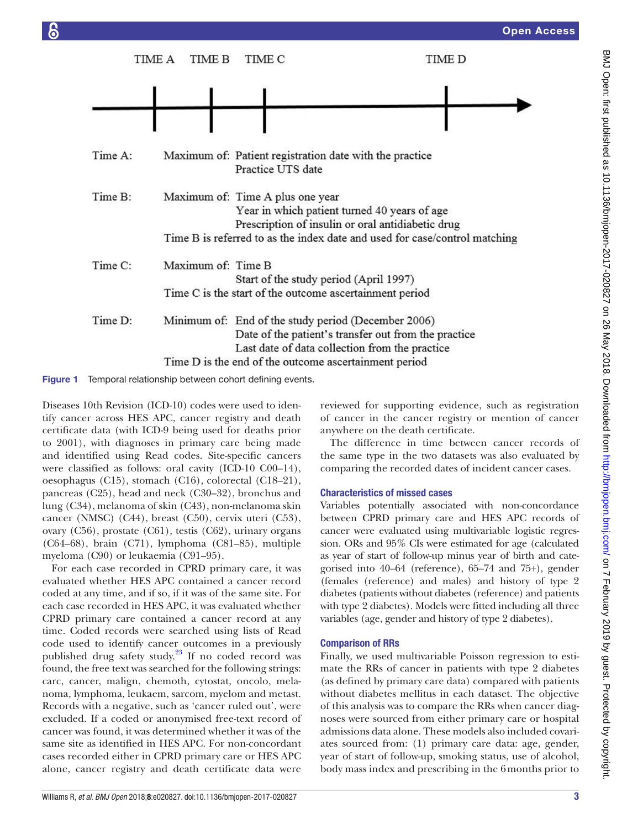Open Access



<span id="page-2-0"></span>Figure 1 Temporal relationship between cohort defining events.

Diseases 10th Revision (ICD-10) codes were used to identify cancer across HES APC, cancer registry and death certificate data (with ICD-9 being used for deaths prior to 2001), with diagnoses in primary care being made and identified using Read codes. Site-specific cancers were classified as follows: oral cavity (ICD-10 C00–14), oesophagus (C15), stomach (C16), colorectal (C18–21), pancreas (C25), head and neck (C30–32), bronchus and lung (C34), melanoma of skin (C43), non-melanoma skin cancer (NMSC) (C44), breast (C50), cervix uteri (C53), ovary (C56), prostate (C61), testis (C62), urinary organs (C64–68), brain (C71), lymphoma (C81–85), multiple myeloma (C90) or leukaemia (C91–95).

For each case recorded in CPRD primary care, it was evaluated whether HES APC contained a cancer record coded at any time, and if so, if it was of the same site. For each case recorded in HES APC, it was evaluated whether CPRD primary care contained a cancer record at any time. Coded records were searched using lists of Read code used to identify cancer outcomes in a previously published drug safety study. $23$  If no coded record was found, the free text was searched for the following strings: carc, cancer, malign, chemoth, cytostat, oncolo, melanoma, lymphoma, leukaem, sarcom, myelom and metast. Records with a negative, such as 'cancer ruled out', were excluded. If a coded or anonymised free-text record of cancer was found, it was determined whether it was of the same site as identified in HES APC. For non-concordant cases recorded either in CPRD primary care or HES APC alone, cancer registry and death certificate data were

reviewed for supporting evidence, such as registration of cancer in the cancer registry or mention of cancer anywhere on the death certificate.

The difference in time between cancer records of the same type in the two datasets was also evaluated by comparing the recorded dates of incident cancer cases.

# Characteristics of missed cases

Variables potentially associated with non-concordance between CPRD primary care and HES APC records of cancer were evaluated using multivariable logistic regression. ORs and 95% CIs were estimated for age (calculated as year of start of follow-up minus year of birth and categorised into 40–64 (reference), 65–74 and 75+), gender (females (reference) and males) and history of type 2 diabetes (patients without diabetes (reference) and patients with type 2 diabetes). Models were fitted including all three variables (age, gender and history of type 2 diabetes).

# Comparison of RRs

Finally, we used multivariable Poisson regression to estimate the RRs of cancer in patients with type 2 diabetes (as defined by primary care data) compared with patients without diabetes mellitus in each dataset. The objective of this analysis was to compare the RRs when cancer diagnoses were sourced from either primary care or hospital admissions data alone. These models also included covariates sourced from: (1) primary care data: age, gender, year of start of follow-up, smoking status, use of alcohol, body mass index and prescribing in the 6months prior to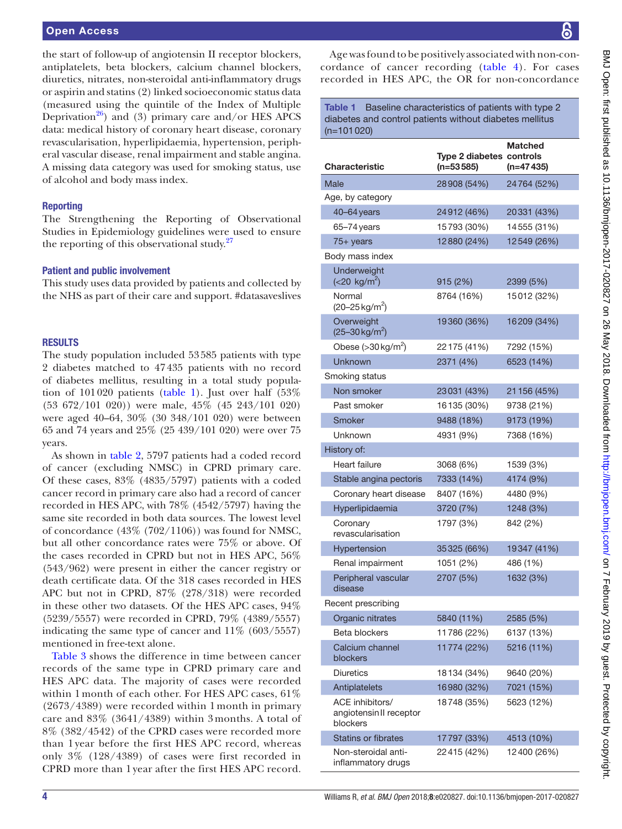#### Open Access

the start of follow-up of angiotensin II receptor blockers, antiplatelets, beta blockers, calcium channel blockers, diuretics, nitrates, non-steroidal anti-inflammatory drugs or aspirin and statins (2) linked socioeconomic status data (measured using the quintile of the Index of Multiple Deprivation<sup>26</sup>) and (3) primary care and/or HES APCS data: medical history of coronary heart disease, coronary revascularisation, hyperlipidaemia, hypertension, peripheral vascular disease, renal impairment and stable angina. A missing data category was used for smoking status, use of alcohol and body mass index.

#### Reporting

The Strengthening the Reporting of Observational Studies in Epidemiology guidelines were used to ensure the reporting of this observational study. $27$ 

#### Patient and public involvement

This study uses data provided by patients and collected by the NHS as part of their care and support. #datasaveslives

#### **RESULTS**

The study population included 53585 patients with type 2 diabetes matched to 47435 patients with no record of diabetes mellitus, resulting in a total study population of 101020 patients [\(table](#page-3-0) 1). Just over half (53% (53 672/101 020)) were male, 45% (45 243/101 020) were aged 40–64, 30% (30 348/101 020) were between 65 and 74 years and 25% (25 439/101 020) were over 75 years.

As shown in [table](#page-4-0) 2, 5797 patients had a coded record of cancer (excluding NMSC) in CPRD primary care. Of these cases, 83% (4835/5797) patients with a coded cancer record in primary care also had a record of cancer recorded in HES APC, with 78% (4542/5797) having the same site recorded in both data sources. The lowest level of concordance  $(43\%$   $(702/1106))$  was found for NMSC, but all other concordance rates were 75% or above. Of the cases recorded in CPRD but not in HES APC, 56% (543/962) were present in either the cancer registry or death certificate data. Of the 318 cases recorded in HES APC but not in CPRD, 87% (278/318) were recorded in these other two datasets. Of the HES APC cases, 94% (5239/5557) were recorded in CPRD, 79% (4389/5557) indicating the same type of cancer and 11% (603/5557) mentioned in free-text alone.

[Table](#page-4-1) 3 shows the difference in time between cancer records of the same type in CPRD primary care and HES APC data. The majority of cases were recorded within 1 month of each other. For HES APC cases, 61% (2673/4389) were recorded within 1 month in primary care and 83% (3641/4389) within 3 months. A total of 8% (382/4542) of the CPRD cases were recorded more than 1 year before the first HES APC record, whereas only 3% (128/4389) of cases were first recorded in CPRD more than 1 year after the first HES APC record.

Age was found to be positively associated with non-concordance of cancer recording ([table](#page-5-0) 4). For cases recorded in HES APC, the OR for non-concordance

<span id="page-3-0"></span>Table 1 Baseline characteristics of patients with type 2 diabetes and control patients without diabetes mellitus (n=101020)

| <b>Characteristic</b>                                  | <b>Type 2 diabetes controls</b><br>$(n=53585)$ | Matched<br>(n=47435) |
|--------------------------------------------------------|------------------------------------------------|----------------------|
| Male                                                   | 28908 (54%)                                    | 24764 (52%)          |
| Age, by category                                       |                                                |                      |
| $40 - 64$ years                                        | 24912 (46%)                                    | 20331 (43%)          |
| 65-74 years                                            | 15793 (30%)                                    | 14555 (31%)          |
| $75+$ years                                            | 12880 (24%)                                    | 12549 (26%)          |
| Body mass index                                        |                                                |                      |
| Underweight<br>$(<20 \text{ kg/m}^2)$                  | 915(2%)                                        | 2399 (5%)            |
| Normal<br>$(20 - 25 \text{ kg/m}^2)$                   | 8764 (16%)                                     | 15012 (32%)          |
| Overweight<br>$(25-30 \text{ kg/m}^2)$                 | 19360 (36%)                                    | 16209 (34%)          |
| Obese $(>30 \text{ kg/m}^2)$                           | 22175 (41%)                                    | 7292 (15%)           |
| Unknown                                                | 2371 (4%)                                      | 6523 (14%)           |
| Smoking status                                         |                                                |                      |
| Non smoker                                             | 23031 (43%)                                    | 21 156 (45%)         |
| Past smoker                                            | 16135 (30%)                                    | 9738 (21%)           |
| <b>Smoker</b>                                          | 9488 (18%)                                     | 9173 (19%)           |
| Unknown                                                | 4931 (9%)                                      | 7368 (16%)           |
| History of:                                            |                                                |                      |
| Heart failure                                          | 3068 (6%)                                      | 1539 (3%)            |
| Stable angina pectoris                                 | 7333 (14%)                                     | 4174 (9%)            |
| Coronary heart disease                                 | 8407 (16%)                                     | 4480 (9%)            |
| Hyperlipidaemia                                        | 3720 (7%)                                      | 1248 (3%)            |
| Coronary<br>revascularisation                          | 1797 (3%)                                      | 842 (2%)             |
| Hypertension                                           | 35325 (66%)                                    | 19347 (41%)          |
| Renal impairment                                       | 1051 (2%)                                      | 486 (1%)             |
| Peripheral vascular<br>disease                         | 2707 (5%)                                      | 1632 (3%)            |
| Recent prescribing                                     |                                                |                      |
| Organic nitrates                                       | 5840 (11%)                                     | 2585 (5%)            |
| Beta blockers                                          | 11786 (22%)                                    | 6137 (13%)           |
| Calcium channel<br>blockers                            | 11774 (22%)                                    | 5216 (11%)           |
| <b>Diuretics</b>                                       | 18134 (34%)                                    | 9640 (20%)           |
| Antiplatelets                                          | 16980 (32%)                                    | 7021 (15%)           |
| ACE inhibitors/<br>angiotensin II receptor<br>blockers | 18748 (35%)                                    | 5623 (12%)           |
| <b>Statins or fibrates</b>                             | 17797 (33%)                                    | 4513 (10%)           |
| Non-steroidal anti-<br>inflammatory drugs              | 22415 (42%)                                    | 12400 (26%)          |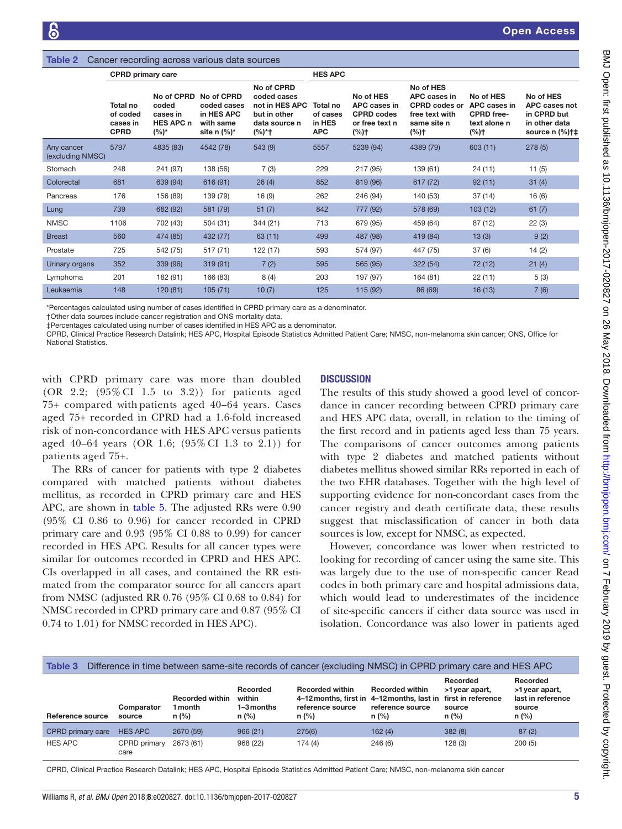#### <span id="page-4-0"></span>Table 2 Cancer recording across various data sources

|                                | <b>CPRD primary care</b>                        |                                                             |                                                                         |                                                                                          | <b>HES APC</b>                               |                                                                           |                                                                                            |                                                                        |                                                                              |
|--------------------------------|-------------------------------------------------|-------------------------------------------------------------|-------------------------------------------------------------------------|------------------------------------------------------------------------------------------|----------------------------------------------|---------------------------------------------------------------------------|--------------------------------------------------------------------------------------------|------------------------------------------------------------------------|------------------------------------------------------------------------------|
|                                | Total no<br>of coded<br>cases in<br><b>CPRD</b> | No of CPRD<br>coded<br>cases in<br><b>HES APC n</b><br>(%)* | No of CPRD<br>coded cases<br>in HES APC<br>with same<br>site n $(\%)^*$ | No of CPRD<br>coded cases<br>not in HES APC<br>but in other<br>data source n<br>$(%)*$ † | Total no<br>of cases<br>in HES<br><b>APC</b> | No of HES<br>APC cases in<br><b>CPRD codes</b><br>or free text n<br>$(*)$ | No of HES<br>APC cases in<br><b>CPRD codes or</b><br>free text with<br>same site n<br>(%)† | No of HES<br>APC cases in<br><b>CPRD</b> free-<br>text alone n<br>(%)† | No of HES<br>APC cases not<br>in CPRD but<br>in other data<br>source n (%)+# |
| Any cancer<br>(excluding NMSC) | 5797                                            | 4835 (83)                                                   | 4542 (78)                                                               | 543(9)                                                                                   | 5557                                         | 5239 (94)                                                                 | 4389 (79)                                                                                  | 603(11)                                                                | 278(5)                                                                       |
| Stomach                        | 248                                             | 241 (97)                                                    | 138 (56)                                                                | 7(3)                                                                                     | 229                                          | 217 (95)                                                                  | 139 (61)                                                                                   | 24 (11)                                                                | 11(5)                                                                        |
| Colorectal                     | 681                                             | 639 (94)                                                    | 616 (91)                                                                | 26(4)                                                                                    | 852                                          | 819 (96)                                                                  | 617 (72)                                                                                   | 92(11)                                                                 | 31(4)                                                                        |
| Pancreas                       | 176                                             | 156 (89)                                                    | 139 (79)                                                                | 16(9)                                                                                    | 262                                          | 246 (94)                                                                  | 140 (53)                                                                                   | 37(14)                                                                 | 16 (6)                                                                       |
| Lung                           | 739                                             | 682 (92)                                                    | 581 (79)                                                                | 51(7)                                                                                    | 842                                          | 777 (92)                                                                  | 578 (69)                                                                                   | 103(12)                                                                | 61(7)                                                                        |
| <b>NMSC</b>                    | 1106                                            | 702 (43)                                                    | 504 (31)                                                                | 344 (21)                                                                                 | 713                                          | 679 (95)                                                                  | 459 (64)                                                                                   | 87 (12)                                                                | 22(3)                                                                        |
| <b>Breast</b>                  | 560                                             | 474 (85)                                                    | 432 (77)                                                                | 63(11)                                                                                   | 499                                          | 487 (98)                                                                  | 419 (84)                                                                                   | 13(3)                                                                  | 9(2)                                                                         |
| Prostate                       | 725                                             | 542 (75)                                                    | 517 (71)                                                                | 122 (17)                                                                                 | 593                                          | 574 (97)                                                                  | 447 (75)                                                                                   | 37 (6)                                                                 | 14(2)                                                                        |
| Urinary organs                 | 352                                             | 339 (96)                                                    | 319(91)                                                                 | 7(2)                                                                                     | 595                                          | 565 (95)                                                                  | 322(54)                                                                                    | 72 (12)                                                                | 21(4)                                                                        |
| Lymphoma                       | 201                                             | 182 (91)                                                    | 166 (83)                                                                | 8(4)                                                                                     | 203                                          | 197 (97)                                                                  | 164 (81)                                                                                   | 22(11)                                                                 | 5(3)                                                                         |
| Leukaemia                      | 148                                             | 120(81)                                                     | 105(71)                                                                 | 10(7)                                                                                    | 125                                          | 115 (92)                                                                  | 86 (69)                                                                                    | 16(13)                                                                 | 7(6)                                                                         |

\*Percentages calculated using number of cases identified in CPRD primary care as a denominator.

†Other data sources include cancer registration and ONS mortality data.

‡Percentages calculated using number of cases identified in HES APC as a denominator.

CPRD, Clinical Practice Research Datalink; HES APC, Hospital Episode Statistics Admitted Patient Care; NMSC, non-melanoma skin cancer; ONS, Office for National Statistics.

with CPRD primary care was more than doubled (OR 2.2; (95% CI 1.5 to 3.2)) for patients aged 75+ compared with patients aged 40–64 years. Cases aged 75+ recorded in CPRD had a 1.6-fold increased risk of non-concordance with HES APC versus patients aged 40–64 years (OR 1.6; (95% CI 1.3 to 2.1)) for patients aged 75+.

The RRs of cancer for patients with type 2 diabetes compared with matched patients without diabetes mellitus, as recorded in CPRD primary care and HES APC, are shown in [table](#page-6-0) 5. The adjusted RRs were 0.90 (95% CI 0.86 to 0.96) for cancer recorded in CPRD primary care and 0.93 (95% CI 0.88 to 0.99) for cancer recorded in HES APC. Results for all cancer types were similar for outcomes recorded in CPRD and HES APC. CIs overlapped in all cases, and contained the RR estimated from the comparator source for all cancers apart from NMSC (adjusted RR 0.76 (95% CI 0.68 to 0.84) for NMSC recorded in CPRD primary care and 0.87 (95% CI 0.74 to 1.01) for NMSC recorded in HES APC).

# **DISCUSSION**

The results of this study showed a good level of concordance in cancer recording between CPRD primary care and HES APC data, overall, in relation to the timing of the first record and in patients aged less than 75 years. The comparisons of cancer outcomes among patients with type 2 diabetes and matched patients without diabetes mellitus showed similar RRs reported in each of the two EHR databases. Together with the high level of supporting evidence for non-concordant cases from the cancer registry and death certificate data, these results suggest that misclassification of cancer in both data sources is low, except for NMSC, as expected.

However, concordance was lower when restricted to looking for recording of cancer using the same site. This was largely due to the use of non-specific cancer Read codes in both primary care and hospital admissions data, which would lead to underestimates of the incidence of site-specific cancers if either data source was used in isolation. Concordance was also lower in patients aged

<span id="page-4-1"></span>

| Table 3           |                             |                                              |                                             | Difference in time between same-site records of cancer (excluding NMSC) in CPRD primary care and HES APC |                                                                                                                        |                                                 |                                                                      |
|-------------------|-----------------------------|----------------------------------------------|---------------------------------------------|----------------------------------------------------------------------------------------------------------|------------------------------------------------------------------------------------------------------------------------|-------------------------------------------------|----------------------------------------------------------------------|
| Reference source  | Comparator<br>source        | <b>Recorded within</b><br>1 month<br>$n$ (%) | Recorded<br>within<br>1–3 months<br>$n$ (%) | <b>Recorded within</b><br>reference source<br>$n$ (%)                                                    | <b>Recorded within</b><br>4-12 months, first in 4-12 months, last in first in reference<br>reference source<br>$n$ (%) | Recorded<br>>1 year apart,<br>source<br>$n$ (%) | Recorded<br>>1 year apart,<br>last in reference<br>source<br>$n$ (%) |
| CPRD primary care | <b>HES APC</b>              | 2670 (59)                                    | 966(21)                                     | 275(6)                                                                                                   | 162(4)                                                                                                                 | 382(8)                                          | 87(2)                                                                |
| <b>HES APC</b>    | <b>CPRD</b> primarv<br>care | 2673 (61)                                    | 968 (22)                                    | 174(4)                                                                                                   | 246(6)                                                                                                                 | 128(3)                                          | 200(5)                                                               |

CPRD, Clinical Practice Research Datalink; HES APC, Hospital Episode Statistics Admitted Patient Care; NMSC, non-melanoma skin cancer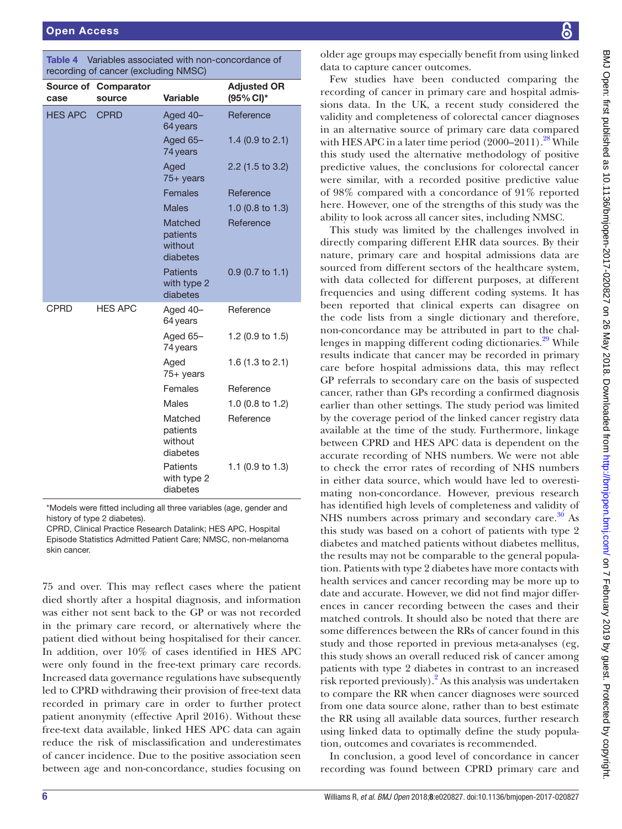|                | recording of cancer (excluding NMSC) |                                                   |                                 |
|----------------|--------------------------------------|---------------------------------------------------|---------------------------------|
| case           | Source of Comparator<br>source       | <b>Variable</b>                                   | <b>Adjusted OR</b><br>(95% CI)* |
| <b>HES APC</b> | <b>CPRD</b>                          | Aged 40-<br>64 years                              | Reference                       |
|                |                                      | Aged 65-<br>74 years                              | 1.4 $(0.9 \text{ to } 2.1)$     |
|                |                                      | Aged<br>75+ years                                 | 2.2 (1.5 to 3.2)                |
|                |                                      | Females                                           | Reference                       |
|                |                                      | <b>Males</b>                                      | 1.0 $(0.8 \text{ to } 1.3)$     |
|                |                                      | <b>Matched</b><br>patients<br>without<br>diabetes | Reference                       |
|                |                                      | <b>Patients</b><br>with type 2<br>diabetes        | $0.9$ (0.7 to 1.1)              |
| <b>CPRD</b>    | <b>HES APC</b>                       | Aged 40-<br>64 years                              | Reference                       |
|                |                                      | Aged 65-<br>74 years                              | 1.2 (0.9 to 1.5)                |
|                |                                      | Aged<br>75+ years                                 | 1.6 (1.3 to 2.1)                |
|                |                                      | Females                                           | Reference                       |
|                |                                      | <b>Males</b>                                      | 1.0 (0.8 to 1.2)                |
|                |                                      | Matched<br>patients<br>without<br>diabetes        | Reference                       |
|                |                                      | Patients<br>with type 2<br>diabetes               | 1.1 $(0.9 \text{ to } 1.3)$     |

<span id="page-5-0"></span>Table 4 Variables associated with non-concordance of

\*Models were fitted including all three variables (age, gender and history of type 2 diabetes).

CPRD, Clinical Practice Research Datalink; HES APC, Hospital Episode Statistics Admitted Patient Care; NMSC, non-melanoma skin cancer.

75 and over. This may reflect cases where the patient died shortly after a hospital diagnosis, and information was either not sent back to the GP or was not recorded in the primary care record, or alternatively where the patient died without being hospitalised for their cancer. In addition, over 10% of cases identified in HES APC were only found in the free-text primary care records. Increased data governance regulations have subsequently led to CPRD withdrawing their provision of free-text data recorded in primary care in order to further protect patient anonymity (effective April 2016). Without these free-text data available, linked HES APC data can again reduce the risk of misclassification and underestimates of cancer incidence. Due to the positive association seen between age and non-concordance, studies focusing on

older age groups may especially benefit from using linked data to capture cancer outcomes.

Few studies have been conducted comparing the recording of cancer in primary care and hospital admissions data. In the UK, a recent study considered the validity and completeness of colorectal cancer diagnoses in an alternative source of primary care data compared with HES APC in a later time period  $(2000-2011)$ .<sup>[28](#page-7-17)</sup> While this study used the alternative methodology of positive predictive values, the conclusions for colorectal cancer were similar, with a recorded positive predictive value of 98% compared with a concordance of 91% reported here. However, one of the strengths of this study was the ability to look across all cancer sites, including NMSC.

This study was limited by the challenges involved in directly comparing different EHR data sources. By their nature, primary care and hospital admissions data are sourced from different sectors of the healthcare system, with data collected for different purposes, at different frequencies and using different coding systems. It has been reported that clinical experts can disagree on the code lists from a single dictionary and therefore, non-concordance may be attributed in part to the chal-lenges in mapping different coding dictionaries.<sup>[29](#page-7-18)</sup> While results indicate that cancer may be recorded in primary care before hospital admissions data, this may reflect GP referrals to secondary care on the basis of suspected cancer, rather than GPs recording a confirmed diagnosis earlier than other settings. The study period was limited by the coverage period of the linked cancer registry data available at the time of the study. Furthermore, linkage between CPRD and HES APC data is dependent on the accurate recording of NHS numbers. We were not able to check the error rates of recording of NHS numbers in either data source, which would have led to overestimating non-concordance. However, previous research has identified high levels of completeness and validity of NHS numbers across primary and secondary care.<sup>[30](#page-7-19)</sup> As this study was based on a cohort of patients with type 2 diabetes and matched patients without diabetes mellitus, the results may not be comparable to the general population. Patients with type 2 diabetes have more contacts with health services and cancer recording may be more up to date and accurate. However, we did not find major differences in cancer recording between the cases and their matched controls. It should also be noted that there are some differences between the RRs of cancer found in this study and those reported in previous meta-analyses (eg, this study shows an overall reduced risk of cancer among patients with type 2 diabetes in contrast to an increased risk reported previously).<sup>[2](#page-7-1)</sup> As this analysis was undertaken to compare the RR when cancer diagnoses were sourced from one data source alone, rather than to best estimate the RR using all available data sources, further research using linked data to optimally define the study population, outcomes and covariates is recommended.

In conclusion, a good level of concordance in cancer recording was found between CPRD primary care and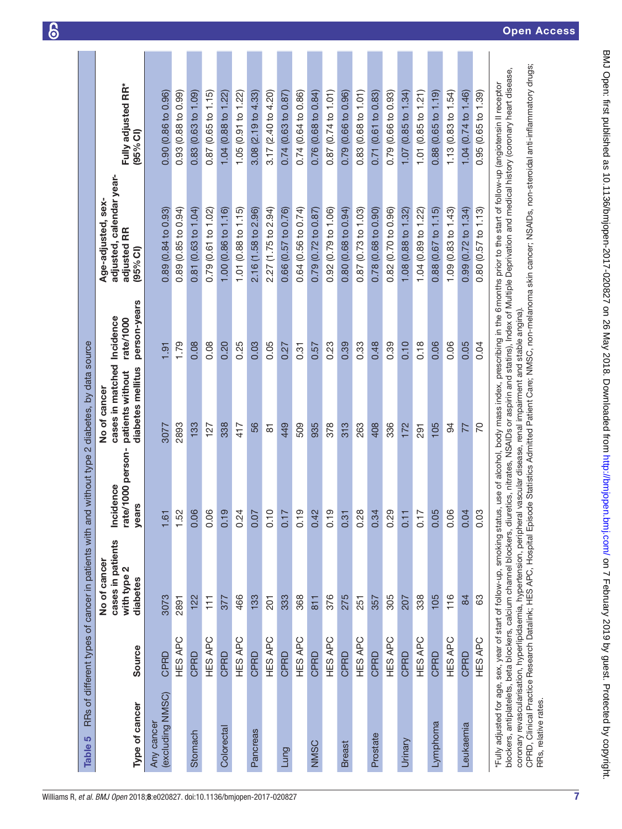| Table 5                        |             | RRs of different types of cancer in patients with ar                   |                                              | id without type 2 diabetes, by data source                                          |                           |                                                                                                                                                                                                                                                                                                                                |                                |
|--------------------------------|-------------|------------------------------------------------------------------------|----------------------------------------------|-------------------------------------------------------------------------------------|---------------------------|--------------------------------------------------------------------------------------------------------------------------------------------------------------------------------------------------------------------------------------------------------------------------------------------------------------------------------|--------------------------------|
| Type of cancer                 | Source      | cases in patients<br>No of cancer<br>with type 2<br>diabetes           | rate/1000 person<br>Incidence<br>years       | cases in matched Incidence<br>diabetes mellitus<br>patients without<br>No of cancer | person-years<br>rate/1000 | adjusted, calendar year-<br>Age-adjusted, sex-<br>adjusted RR<br>(95% Cl)                                                                                                                                                                                                                                                      | Fully adjusted RR*<br>(95% Cl) |
| (excluding NMSC)<br>Any cancer | <b>CPRD</b> | 3073                                                                   | 1.61                                         | 3077                                                                                | 1.91                      | 0.89 (0.84 to 0.93)                                                                                                                                                                                                                                                                                                            | 0.90 (0.86 to 0.96)            |
|                                | HES APC     | 2891                                                                   | 1.52                                         | 2893                                                                                | 1.79                      | 0.89 (0.85 to 0.94)                                                                                                                                                                                                                                                                                                            | 0.93(0.88 to 0.99)             |
| Stomach                        | <b>CPRD</b> | 122                                                                    | 0.06                                         | 133                                                                                 | 0.08                      | 0.81 (0.63 to 1.04)                                                                                                                                                                                                                                                                                                            | 0.83(0.63 to 1.09)             |
|                                | HES APC     | $\frac{1}{11}$                                                         | 0.06                                         | 127                                                                                 | 0.08                      | 0.79 (0.61 to 1.02)                                                                                                                                                                                                                                                                                                            | 0.87(0.65 to 1.15)             |
| Colorectal                     | <b>CPRD</b> | 377                                                                    | $\circ$<br>$\overline{0}$ .                  | 338                                                                                 | 0.20                      | 1.00 (0.86 to 1.16)                                                                                                                                                                                                                                                                                                            | 1.04(0.88 to 1.22)             |
|                                | HES APC     | 466                                                                    | 0.24                                         | 417                                                                                 | 0.25                      | 1.01(0.88 to 1.15)                                                                                                                                                                                                                                                                                                             | 1.05(0.91 to 1.22)             |
| Pancreas                       | <b>CPRD</b> | 133                                                                    | 0.07                                         | 56                                                                                  | 0.03                      | 2.16 (1.58 to 2.96)                                                                                                                                                                                                                                                                                                            | 3.08 (2.19 to 4.33)            |
|                                | HES APC     | <b>PO2</b>                                                             | $\circ$<br>$\overline{C}$                    | 51                                                                                  | 0.05                      | 2.27 (1.75 to 2.94)                                                                                                                                                                                                                                                                                                            | 3.17(2.40 to 4.20)             |
| <b>Lung</b>                    | <b>CPRD</b> | 333                                                                    | $\overline{ }$<br>$\overline{0}$ .           | 449                                                                                 | 0.27                      | 0.66 (0.57 to 0.76)                                                                                                                                                                                                                                                                                                            | 0.74(0.63 to 0.87)             |
|                                | HES APC     | 368                                                                    | တ<br>$\overline{C}$                          | 509                                                                                 | 0.31                      | 0.64 (0.56 to 0.74)                                                                                                                                                                                                                                                                                                            | 0.74 (0.64 to 0.86)            |
| NMSC                           | <b>CPRD</b> | 811                                                                    | Ņ<br>0.4                                     | 935                                                                                 | 0.57                      | 0.79(0.72 to 0.87)                                                                                                                                                                                                                                                                                                             | 0.76(0.68 to 0.84)             |
|                                | HES APC     | 376                                                                    | တ<br>$\overline{C}$                          | 378                                                                                 | 0.23                      | 0.92 (0.79 to 1.06)                                                                                                                                                                                                                                                                                                            | 0.87(0.74 to 1.01)             |
| <b>Breast</b>                  | <b>CPRD</b> | 275                                                                    | 0.31                                         | 313                                                                                 | 0.39                      | 0.80 (0.68 to 0.94)                                                                                                                                                                                                                                                                                                            | 0.79(0.66 to 0.96)             |
|                                | HES APC     | 251                                                                    | œ<br>S.                                      | 263                                                                                 | 0.33                      | 0.87 (0.73 to 1.03)                                                                                                                                                                                                                                                                                                            | 0.83(0.68 to 1.01)             |
| Prostate                       | <b>CPRD</b> | 357                                                                    | 0.34                                         | 408                                                                                 | 0.48                      | 0.78 (0.68 to 0.90)                                                                                                                                                                                                                                                                                                            | 0.71 (0.61 to 0.83)            |
|                                | HES APC     | 305                                                                    | စ္ခ<br>$\frac{2}{3}$                         | 336                                                                                 | 0.39                      | 0.82 (0.70 to 0.96)                                                                                                                                                                                                                                                                                                            | 0.79 (0.66 to 0.93)            |
| Urinary                        | <b>CPRD</b> | 207                                                                    | $\overline{\phantom{0}}$<br>$\overline{0}$ . | 172                                                                                 | 0.10                      | 1.08 (0.88 to 1.32)                                                                                                                                                                                                                                                                                                            | 1.07(0.85 to 1.34)             |
|                                | HES APC     | 338                                                                    | $\overline{ }$<br>$\overline{C}$             | 291                                                                                 | 0.18                      | 1.04(0.89 to 1.22)                                                                                                                                                                                                                                                                                                             | 1.01(0.85 to 1.21)             |
| Lymphoma                       | CPRD        | 105                                                                    | 0.05                                         | 105                                                                                 | 0.06                      | 0.88 (0.67 to 1.15)                                                                                                                                                                                                                                                                                                            | 0.88(0.65 to 1.19)             |
|                                | HES APC     | 116                                                                    | 0.06                                         | 94                                                                                  | 0.06                      | 1.09 (0.83 to 1.43)                                                                                                                                                                                                                                                                                                            | 1.13(0.83 to 1.54)             |
| Leukaemia                      | <b>CPRD</b> | 84                                                                     | 0.04                                         | 77                                                                                  | 0.05                      | 0.99(0.72 to 1.34)                                                                                                                                                                                                                                                                                                             | 1.04 (0.74 to 1.46)            |
|                                | HES APC     | යි                                                                     | 0.03                                         | 20                                                                                  | 0.04                      | 0.80(0.57 to 1.13)                                                                                                                                                                                                                                                                                                             | 0.95(0.65 to 1.39)             |
|                                |             | Fully adjusted for age, sex, year of start of follow-up, smoking statu |                                              |                                                                                     |                           | blockers, antiplatelets, beta blockers, calcium channel blockers, diuretics, nitrates, NSAIDs or aspirin and statins), Index of Multiple Deprivation and medical history (coronary heart disease,<br>us, use of alcohol, body mass index, prescribing in the 6 months prior to the start of follow-up (angiotensin ll receptor |                                |

 $6$ 

RRs, relative rates.

<span id="page-6-0"></span>RRs, relative rates.

coronary revascularisation, hyperlipidaemia, hypertension, peripheral vascular disease, renal impairment and stable angina).

coronary revascularisation, hyperlipidaemia, hypertension, peripheral vascular disease, renal impairment and stable angina).

CPRD, Clinical Practice Research Datalink; HES APC, Hospital Episode Statistics Admitted Patient Care; NMSC, non-melanoma skin cancer; NSAIDs, non-steroidal anti-inflammatory drugs;

CPRD, Clinical Practice Research Datalink; HES APC, Hospital Episode Statistics Admitted Patient Care; NMSC, non-melanoma skin cancer; NSAIDs, non-steroidal anti-inflammatory drugs;